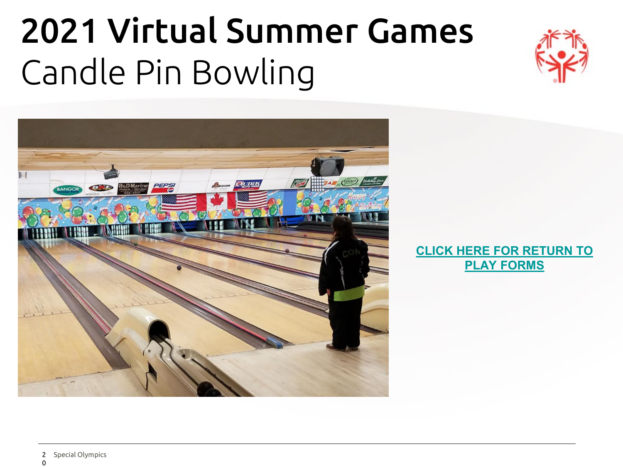# 2021 Virtual Summer Games Candle Pin Bowling





#### **[CLICK HERE FOR RETURN TO](https://www.somaine.org/wp-content/uploads/Return-to-Play-Overview.pdf) PLAY FORMS**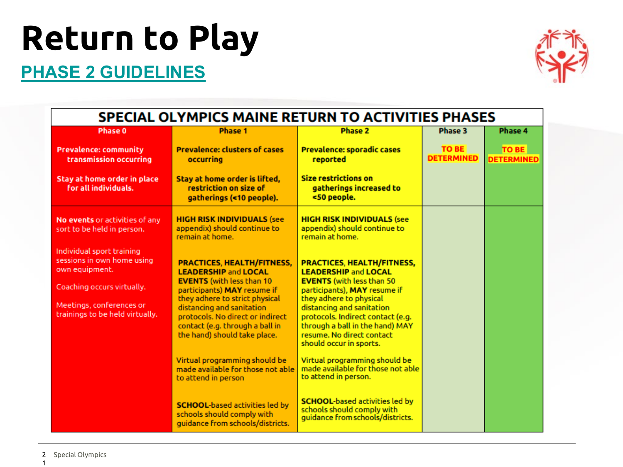# **Return to Play**

#### **[PHASE 2 GUIDELINES](https://www.somaine.org/wp-content/uploads/SOMaine-Return-To-Activities-Protocol-Phases-0-2.pdf)**



| <b>SPECIAL OLYMPICS MAINE RETURN TO ACTIVITIES PHASES</b>                                                                                                              |                                                                                                                                                                                                                                                                                                           |                                                                                                                                                                                                                                                                                                                              |                            |                            |  |  |
|------------------------------------------------------------------------------------------------------------------------------------------------------------------------|-----------------------------------------------------------------------------------------------------------------------------------------------------------------------------------------------------------------------------------------------------------------------------------------------------------|------------------------------------------------------------------------------------------------------------------------------------------------------------------------------------------------------------------------------------------------------------------------------------------------------------------------------|----------------------------|----------------------------|--|--|
| Phase 0                                                                                                                                                                | <b>Phase 1</b>                                                                                                                                                                                                                                                                                            | Phase 2                                                                                                                                                                                                                                                                                                                      | Phase 3                    | Phase 4                    |  |  |
| <b>Prevalence: community</b><br>transmission occurring                                                                                                                 | <b>Prevalence: clusters of cases</b><br>occurring                                                                                                                                                                                                                                                         | <b>Prevalence: sporadic cases</b><br>reported                                                                                                                                                                                                                                                                                | TO BE<br><b>DETERMINED</b> | TO BE<br><b>DETERMINED</b> |  |  |
| Stay at home order in place<br>for all individuals.                                                                                                                    | Stay at home order is lifted,<br>restriction on size of<br>gatherings (<10 people).                                                                                                                                                                                                                       | <b>Size restrictions on</b><br>gatherings increased to<br><50 people.                                                                                                                                                                                                                                                        |                            |                            |  |  |
| No events or activities of any<br>sort to be held in person.                                                                                                           | <b>HIGH RISK INDIVIDUALS (see</b><br>appendix) should continue to<br>remain at home.                                                                                                                                                                                                                      | <b>HIGH RISK INDIVIDUALS (see</b><br>appendix) should continue to<br>remain at home.                                                                                                                                                                                                                                         |                            |                            |  |  |
| Individual sport training<br>sessions in own home using<br>own equipment.<br>Coaching occurs virtually.<br>Meetings, conferences or<br>trainings to be held virtually. | <b>PRACTICES, HEALTH/FITNESS,</b><br><b>LEADERSHIP and LOCAL</b><br><b>EVENTS</b> (with less than 10<br>participants) MAY resume if<br>they adhere to strict physical<br>distancing and sanitation<br>protocols. No direct or indirect<br>contact (e.g. through a ball in<br>the hand) should take place. | <b>PRACTICES, HEALTH/FITNESS,</b><br><b>LEADERSHIP and LOCAL</b><br><b>EVENTS</b> (with less than 50<br>participants), MAY resume if<br>they adhere to physical<br>distancing and sanitation<br>protocols. Indirect contact (e.g.<br>through a ball in the hand) MAY<br>resume. No direct contact<br>should occur in sports. |                            |                            |  |  |
|                                                                                                                                                                        | Virtual programming should be<br>made available for those not able<br>to attend in person<br><b>SCHOOL-based activities led by</b><br>schools should comply with<br>guidance from schools/districts.                                                                                                      | Virtual programming should be<br>made available for those not able<br>to attend in person.<br><b>SCHOOL-based activities led by</b><br>schools should comply with<br>guidance from schools/districts.                                                                                                                        |                            |                            |  |  |

1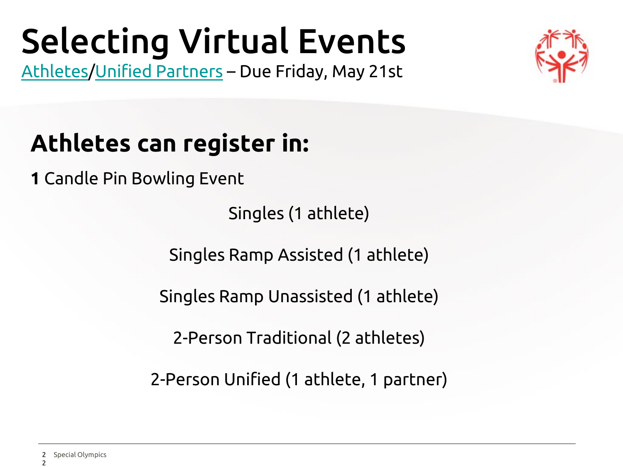### Selecting Virtual Events [Athletes](https://forms.gle/XtrVytdc9eMP5npc7)/[Unified Partners](https://forms.gle/CnropgD8MKw8qF2C6) – Due Friday, May 21st



### **Athletes can register in:**

**1** Candle Pin Bowling Event

Singles (1 athlete)

Singles Ramp Assisted (1 athlete)

Singles Ramp Unassisted (1 athlete)

2-Person Traditional (2 athletes)

2-Person Unified (1 athlete, 1 partner)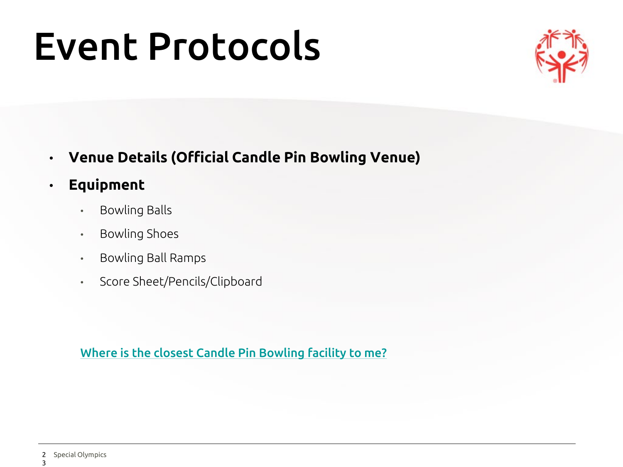# Event Protocols



- **Venue Details (Official Candle Pin Bowling Venue)**
- **Equipment** 
	- Bowling Balls
	- Bowling Shoes
	- Bowling Ball Ramps
	- Score Sheet/Pencils/Clipboard

[Where is the closest Candle Pin Bowling facility to me?](http://www.mainecandlepinbowling.com/centers.html)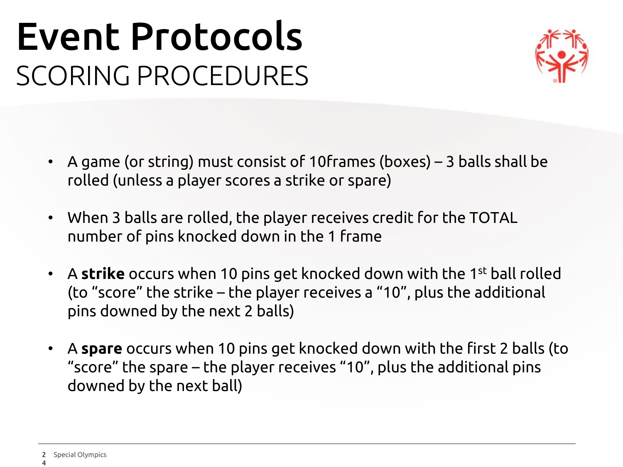## Event Protocols SCORING PROCEDURES



- A game (or string) must consist of 10frames (boxes) 3 balls shall be rolled (unless a player scores a strike or spare)
- When 3 balls are rolled, the player receives credit for the TOTAL number of pins knocked down in the 1 frame
- A **strike** occurs when 10 pins get knocked down with the 1st ball rolled (to "score" the strike – the player receives a "10", plus the additional pins downed by the next 2 balls)
- A **spare** occurs when 10 pins get knocked down with the first 2 balls (to "score" the spare – the player receives "10", plus the additional pins downed by the next ball)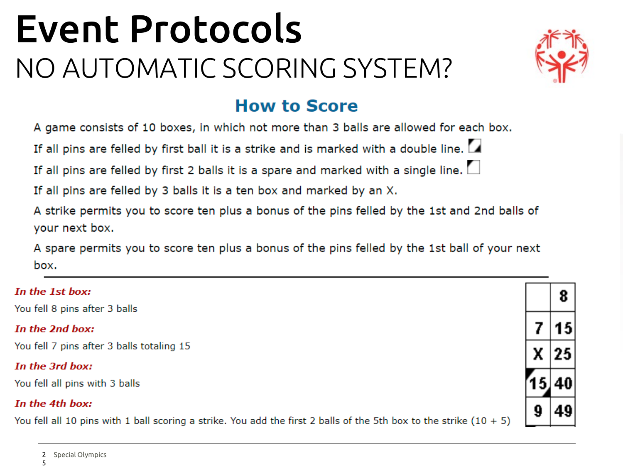## Event Protocols NO AUTOMATIC SCORING SYSTEM?



#### **How to Score**

A game consists of 10 boxes, in which not more than 3 balls are allowed for each box.

If all pins are felled by first ball it is a strike and is marked with a double line.

If all pins are felled by first 2 balls it is a spare and marked with a single line.  $\square$ 

If all pins are felled by 3 balls it is a ten box and marked by an X.

A strike permits you to score ten plus a bonus of the pins felled by the 1st and 2nd balls of your next box.

A spare permits you to score ten plus a bonus of the pins felled by the 1st ball of your next box.

| In the 1st box:                                                                                                      |  |  |
|----------------------------------------------------------------------------------------------------------------------|--|--|
| You fell 8 pins after 3 balls                                                                                        |  |  |
| In the 2nd box:                                                                                                      |  |  |
| You fell 7 pins after 3 balls totaling 15                                                                            |  |  |
| In the 3rd box:                                                                                                      |  |  |
| You fell all pins with 3 balls                                                                                       |  |  |
| In the 4th box:                                                                                                      |  |  |
| You fell all 10 pins with 1 ball scoring a strike. You add the first 2 balls of the 5th box to the strike $(10 + 5)$ |  |  |